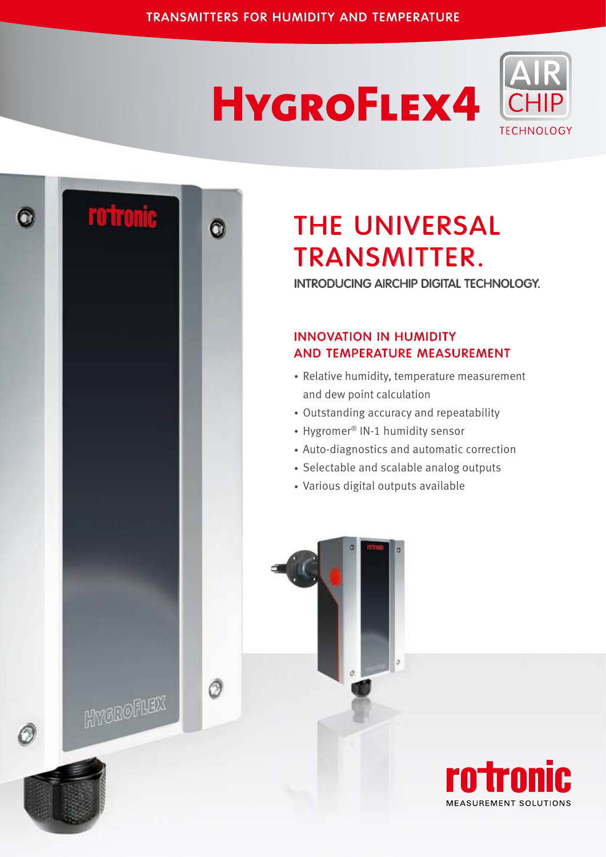# **HYGROFLEX4**





## THE universal TRANSMITTER.

INTRODUCING AIRCHIP DIGITAL TECHNOLOGY.

### Innovation in Humidity and Temperature Measurement

- Relative humidity, temperature measurement and dew point calculation
- Outstanding accuracy and repeatability
- Hygromer® IN-1 humidity sensor
- Auto-diagnostics and automatic correction
- Selectable and scalable analog outputs
- Various digital outputs available

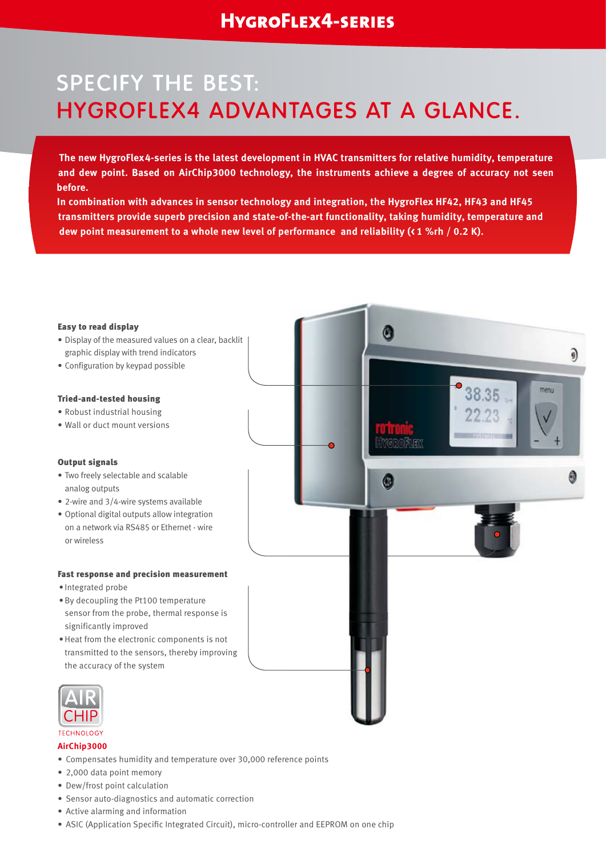### SPECIFY THE BEST: HYGROFLEX4 ADVANTAGES AT A GLANCE.

**The new HygroFlex4-series is the latest development in HVAC transmitters for relative humidity, temperature and dew point. Based on AirChip3000 technology, the instruments achieve a degree of accuracy not seen before.**

**In combination with advances in sensor technology and integration, the HygroFlex HF42, HF43 and HF45 transmitters provide superb precision and state-of-the-art functionality, taking humidity, temperature and dew point measurement to a whole new level of performance and reliability (< 1 %rh / 0.2 K).**



#### **TECHNOLOGY AirChip3000**

- Compensates humidity and temperature over 30,000 reference points
- 2,000 data point memory
- Dew/frost point calculation
- Sensor auto-diagnostics and automatic correction
- • Active alarming and information
- ASIC (Application Specific Integrated Circuit), micro-controller and EEPROM on one chip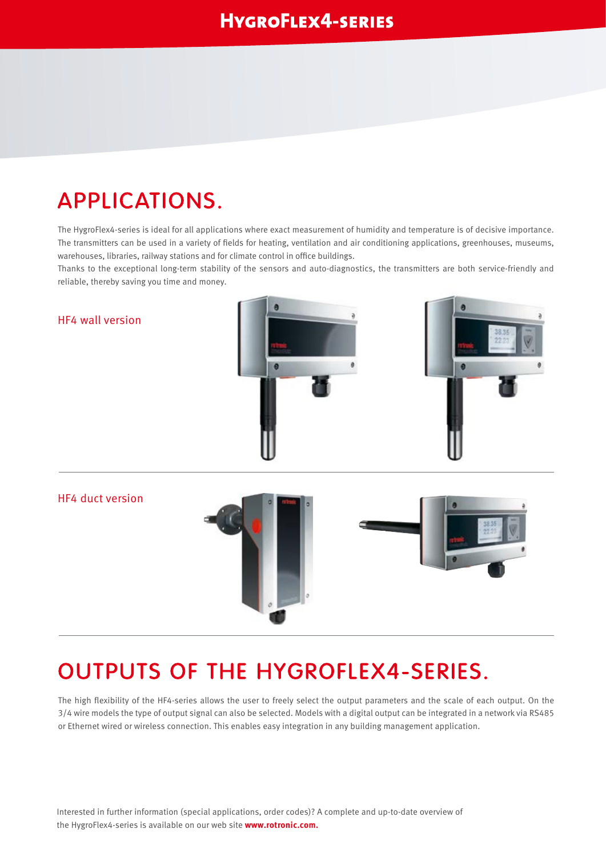### APPLICATIONS.

The HygroFlex4-series is ideal for all applications where exact measurement of humidity and temperature is of decisive importance. The transmitters can be used in a variety of fields for heating, ventilation and air conditioning applications, greenhouses, museums, warehouses, libraries, railway stations and for climate control in office buildings.

Thanks to the exceptional long-term stability of the sensors and auto-diagnostics, the transmitters are both service-friendly and reliable, thereby saving you time and money.



### OUTPUTS OF THE HYGROFLEX4-SERIES.

The high flexibility of the HF4-series allows the user to freely select the output parameters and the scale of each output. On the 3/4 wire models the type of output signal can also be selected. Models with a digital output can be integrated in a network via RS485 or Ethernet wired or wireless connection. This enables easy integration in any building management application.